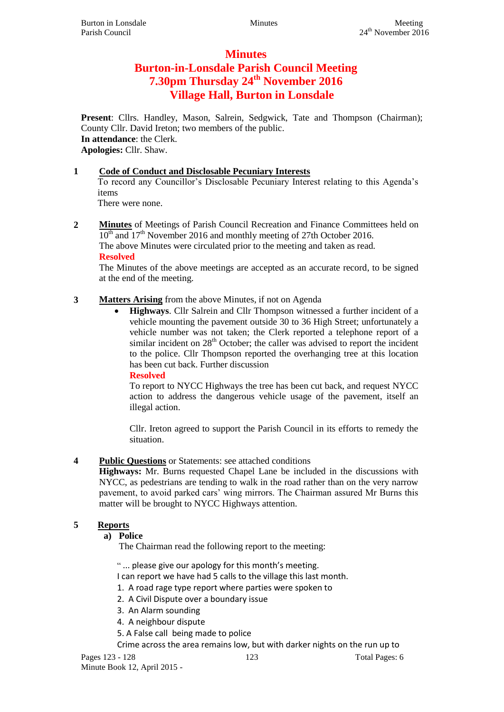# **Minutes**

# **Burton-in-Lonsdale Parish Council Meeting 7.30pm Thursday 24th November 2016 Village Hall, Burton in Lonsdale**

**Present**: Cllrs. Handley, Mason, Salrein, Sedgwick, Tate and Thompson (Chairman); County Cllr. David Ireton; two members of the public. **In attendance**: the Clerk. **Apologies:** Cllr. Shaw.

## **1 Code of Conduct and Disclosable Pecuniary Interests**

To record any Councillor's Disclosable Pecuniary Interest relating to this Agenda's items

There were none.

**2 Minutes** of Meetings of Parish Council Recreation and Finance Committees held on  $10<sup>th</sup>$  and  $17<sup>th</sup>$  November 2016 and monthly meeting of 27th October 2016. The above Minutes were circulated prior to the meeting and taken as read. **Resolved**

The Minutes of the above meetings are accepted as an accurate record, to be signed at the end of the meeting.

## **3 Matters Arising** from the above Minutes, if not on Agenda

 **Highways**. Cllr Salrein and Cllr Thompson witnessed a further incident of a vehicle mounting the pavement outside 30 to 36 High Street; unfortunately a vehicle number was not taken; the Clerk reported a telephone report of a similar incident on  $28<sup>th</sup>$  October; the caller was advised to report the incident to the police. Cllr Thompson reported the overhanging tree at this location has been cut back. Further discussion

**Resolved**

To report to NYCC Highways the tree has been cut back, and request NYCC action to address the dangerous vehicle usage of the pavement, itself an illegal action.

Cllr. Ireton agreed to support the Parish Council in its efforts to remedy the situation.

## **4 Public Questions** or Statements: see attached conditions

**Highways:** Mr. Burns requested Chapel Lane be included in the discussions with NYCC, as pedestrians are tending to walk in the road rather than on the very narrow pavement, to avoid parked cars' wing mirrors. The Chairman assured Mr Burns this matter will be brought to NYCC Highways attention.

## **5 Reports**

## **a) Police**

The Chairman read the following report to the meeting:

" ... please give our apology for this month's meeting.

I can report we have had 5 calls to the village this last month.

- 1. A road rage type report where parties were spoken to
- 2. A Civil Dispute over a boundary issue
- 3. An Alarm sounding
- 4. A neighbour dispute
- 5. A False call being made to police

Crime across the area remains low, but with darker nights on the run up to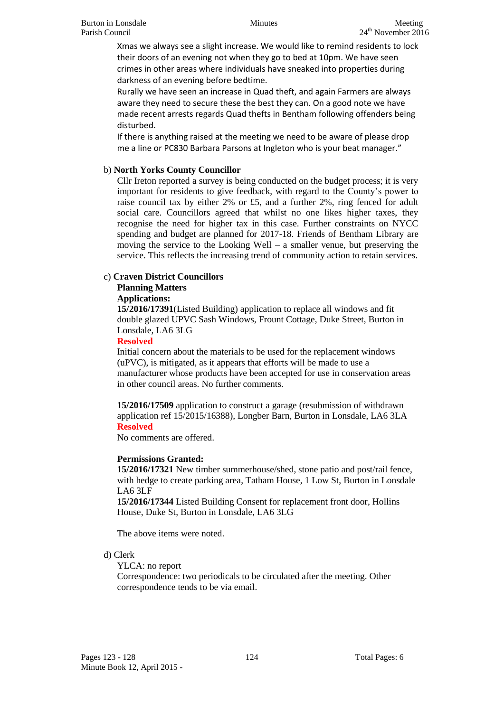Xmas we always see a slight increase. We would like to remind residents to lock their doors of an evening not when they go to bed at 10pm. We have seen crimes in other areas where individuals have sneaked into properties during darkness of an evening before bedtime.

Rurally we have seen an increase in Quad theft, and again Farmers are always aware they need to secure these the best they can. On a good note we have made recent arrests regards Quad thefts in Bentham following offenders being disturbed.

If there is anything raised at the meeting we need to be aware of please drop me a line or PC830 Barbara Parsons at Ingleton who is your beat manager."

## b) **North Yorks County Councillor**

Cllr Ireton reported a survey is being conducted on the budget process; it is very important for residents to give feedback, with regard to the County's power to raise council tax by either 2% or £5, and a further 2%, ring fenced for adult social care. Councillors agreed that whilst no one likes higher taxes, they recognise the need for higher tax in this case. Further constraints on NYCC spending and budget are planned for 2017-18. Friends of Bentham Library are moving the service to the Looking Well – a smaller venue, but preserving the service. This reflects the increasing trend of community action to retain services.

### c) **Craven District Councillors**

## **Planning Matters**

### **Applications:**

**15/2016/17391**(Listed Building) application to replace all windows and fit double glazed UPVC Sash Windows, Frount Cottage, Duke Street, Burton in Lonsdale, LA6 3LG

### **Resolved**

Initial concern about the materials to be used for the replacement windows (uPVC), is mitigated, as it appears that efforts will be made to use a manufacturer whose products have been accepted for use in conservation areas in other council areas. No further comments.

**15/2016/17509** application to construct a garage (resubmission of withdrawn application ref 15/2015/16388), Longber Barn, Burton in Lonsdale, LA6 3LA **Resolved**

No comments are offered.

### **Permissions Granted:**

**15/2016/17321** New timber summerhouse/shed, stone patio and post/rail fence, with hedge to create parking area, Tatham House, 1 Low St, Burton in Lonsdale LA6 3LF

**15/2016/17344** Listed Building Consent for replacement front door, Hollins House, Duke St, Burton in Lonsdale, LA6 3LG

The above items were noted.

### d) Clerk

YLCA: no report

Correspondence: two periodicals to be circulated after the meeting. Other correspondence tends to be via email.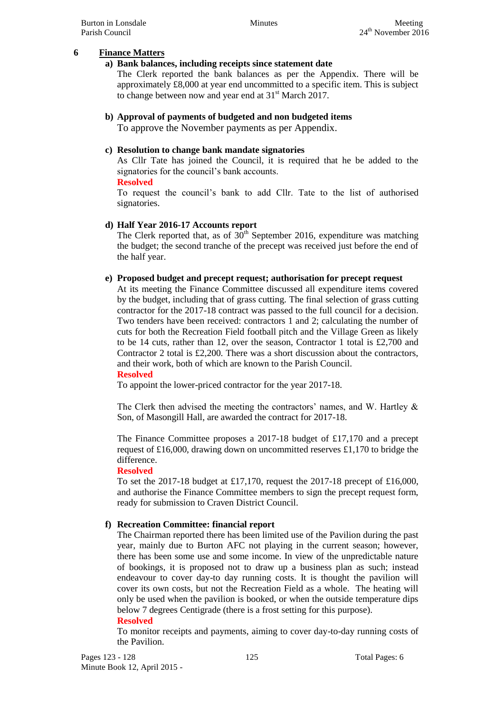### **6 Finance Matters**

### **a) Bank balances, including receipts since statement date**

The Clerk reported the bank balances as per the Appendix. There will be approximately £8,000 at year end uncommitted to a specific item. This is subject to change between now and year end at  $31<sup>st</sup>$  March 2017.

## **b) Approval of payments of budgeted and non budgeted items**

To approve the November payments as per Appendix.

## **c) Resolution to change bank mandate signatories**

As Cllr Tate has joined the Council, it is required that he be added to the signatories for the council's bank accounts.

### **Resolved**

To request the council's bank to add Cllr. Tate to the list of authorised signatories.

### **d) Half Year 2016-17 Accounts report**

The Clerk reported that, as of  $30<sup>th</sup>$  September 2016, expenditure was matching the budget; the second tranche of the precept was received just before the end of the half year.

### **e) Proposed budget and precept request; authorisation for precept request**

At its meeting the Finance Committee discussed all expenditure items covered by the budget, including that of grass cutting. The final selection of grass cutting contractor for the 2017-18 contract was passed to the full council for a decision. Two tenders have been received: contractors 1 and 2; calculating the number of cuts for both the Recreation Field football pitch and the Village Green as likely to be 14 cuts, rather than 12, over the season, Contractor 1 total is £2,700 and Contractor 2 total is £2,200. There was a short discussion about the contractors, and their work, both of which are known to the Parish Council.

### **Resolved**

To appoint the lower-priced contractor for the year 2017-18.

The Clerk then advised the meeting the contractors' names, and W. Hartley & Son, of Masongill Hall, are awarded the contract for 2017-18.

The Finance Committee proposes a 2017-18 budget of £17,170 and a precept request of £16,000, drawing down on uncommitted reserves £1,170 to bridge the difference.

### **Resolved**

To set the 2017-18 budget at £17,170, request the 2017-18 precept of £16,000, and authorise the Finance Committee members to sign the precept request form, ready for submission to Craven District Council.

### **f) Recreation Committee: financial report**

The Chairman reported there has been limited use of the Pavilion during the past year, mainly due to Burton AFC not playing in the current season; however, there has been some use and some income. In view of the unpredictable nature of bookings, it is proposed not to draw up a business plan as such; instead endeavour to cover day-to day running costs. It is thought the pavilion will cover its own costs, but not the Recreation Field as a whole. The heating will only be used when the pavilion is booked, or when the outside temperature dips below 7 degrees Centigrade (there is a frost setting for this purpose).

#### **Resolved**

To monitor receipts and payments, aiming to cover day-to-day running costs of the Pavilion.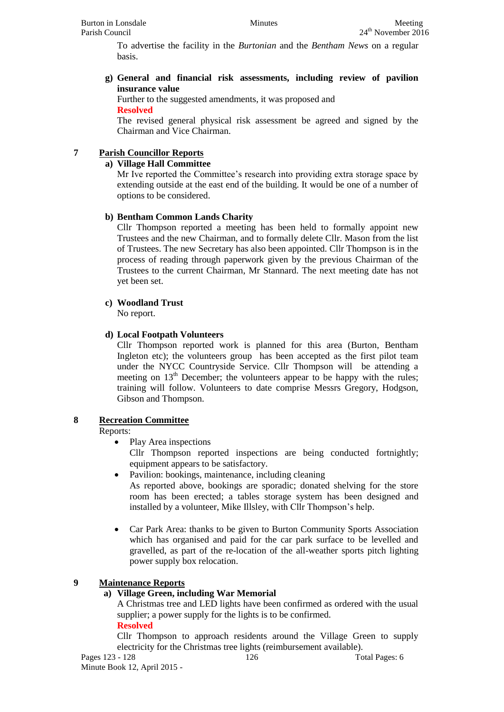To advertise the facility in the *Burtonian* and the *Bentham News* on a regular basis.

**g) General and financial risk assessments, including review of pavilion insurance value**

Further to the suggested amendments, it was proposed and **Resolved**

The revised general physical risk assessment be agreed and signed by the Chairman and Vice Chairman.

## **7 Parish Councillor Reports**

## **a) Village Hall Committee**

Mr Ive reported the Committee's research into providing extra storage space by extending outside at the east end of the building. It would be one of a number of options to be considered.

## **b) Bentham Common Lands Charity**

Cllr Thompson reported a meeting has been held to formally appoint new Trustees and the new Chairman, and to formally delete Cllr. Mason from the list of Trustees. The new Secretary has also been appointed. Cllr Thompson is in the process of reading through paperwork given by the previous Chairman of the Trustees to the current Chairman, Mr Stannard. The next meeting date has not yet been set.

## **c) Woodland Trust**

No report.

## **d) Local Footpath Volunteers**

Cllr Thompson reported work is planned for this area (Burton, Bentham Ingleton etc); the volunteers group has been accepted as the first pilot team under the NYCC Countryside Service. Cllr Thompson will be attending a meeting on  $13<sup>th</sup>$  December; the volunteers appear to be happy with the rules; training will follow. Volunteers to date comprise Messrs Gregory, Hodgson, Gibson and Thompson.

## **8 Recreation Committee**

## Reports:

• Play Area inspections

Cllr Thompson reported inspections are being conducted fortnightly; equipment appears to be satisfactory.

- Pavilion: bookings, maintenance, including cleaning As reported above, bookings are sporadic; donated shelving for the store room has been erected; a tables storage system has been designed and installed by a volunteer, Mike Illsley, with Cllr Thompson's help.
- Car Park Area: thanks to be given to Burton Community Sports Association which has organised and paid for the car park surface to be levelled and gravelled, as part of the re-location of the all-weather sports pitch lighting power supply box relocation.

## **9 Maintenance Reports**

## **a) Village Green, including War Memorial**

A Christmas tree and LED lights have been confirmed as ordered with the usual supplier; a power supply for the lights is to be confirmed.

### **Resolved**

Cllr Thompson to approach residents around the Village Green to supply electricity for the Christmas tree lights (reimbursement available).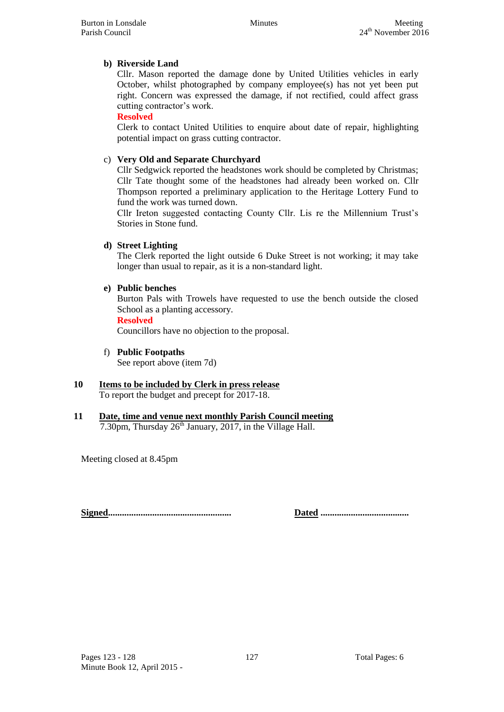## **b) Riverside Land**

Cllr. Mason reported the damage done by United Utilities vehicles in early October, whilst photographed by company employee(s) has not yet been put right. Concern was expressed the damage, if not rectified, could affect grass cutting contractor's work.

## **Resolved**

Clerk to contact United Utilities to enquire about date of repair, highlighting potential impact on grass cutting contractor.

## c) **Very Old and Separate Churchyard**

Cllr Sedgwick reported the headstones work should be completed by Christmas; Cllr Tate thought some of the headstones had already been worked on. Cllr Thompson reported a preliminary application to the Heritage Lottery Fund to fund the work was turned down.

Cllr Ireton suggested contacting County Cllr. Lis re the Millennium Trust's Stories in Stone fund.

## **d) Street Lighting**

The Clerk reported the light outside 6 Duke Street is not working; it may take longer than usual to repair, as it is a non-standard light.

## **e) Public benches**

Burton Pals with Trowels have requested to use the bench outside the closed School as a planting accessory.

### **Resolved**

Councillors have no objection to the proposal.

## f) **Public Footpaths**

See report above (item 7d)

#### **10 Items to be included by Clerk in press release** To report the budget and precept for 2017-18.

# **11 Date, time and venue next monthly Parish Council meeting**

7.30pm, Thursday  $26<sup>th</sup>$  January, 2017, in the Village Hall.

Meeting closed at 8.45pm

**Signed..................................................... Dated ......................................**